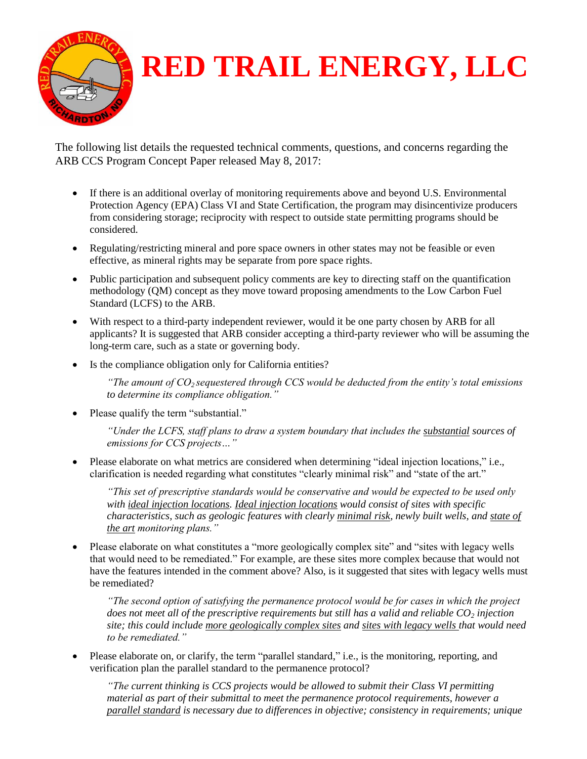

## **RED TRAIL ENERGY, LLC**

The following list details the requested technical comments, questions, and concerns regarding the ARB CCS Program Concept Paper released May 8, 2017:

- If there is an additional overlay of monitoring requirements above and beyond U.S. Environmental Protection Agency (EPA) Class VI and State Certification, the program may disincentivize producers from considering storage; reciprocity with respect to outside state permitting programs should be considered.
- Regulating/restricting mineral and pore space owners in other states may not be feasible or even effective, as mineral rights may be separate from pore space rights.
- Public participation and subsequent policy comments are key to directing staff on the quantification methodology (QM) concept as they move toward proposing amendments to the Low Carbon Fuel Standard (LCFS) to the ARB.
- With respect to a third-party independent reviewer, would it be one party chosen by ARB for all applicants? It is suggested that ARB consider accepting a third-party reviewer who will be assuming the long-term care, such as a state or governing body.
- Is the compliance obligation only for California entities?

*"The amount of CO2 sequestered through CCS would be deducted from the entity's total emissions to determine its compliance obligation."* 

• Please qualify the term "substantial."

*"Under the LCFS, staff plans to draw a system boundary that includes the substantial sources of emissions for CCS projects…"* 

 Please elaborate on what metrics are considered when determining "ideal injection locations," i.e., clarification is needed regarding what constitutes "clearly minimal risk" and "state of the art."

*"This set of prescriptive standards would be conservative and would be expected to be used only with ideal injection locations. Ideal injection locations would consist of sites with specific characteristics, such as geologic features with clearly minimal risk, newly built wells, and state of the art monitoring plans."*

• Please elaborate on what constitutes a "more geologically complex site" and "sites with legacy wells that would need to be remediated." For example, are these sites more complex because that would not have the features intended in the comment above? Also, is it suggested that sites with legacy wells must be remediated?

*"The second option of satisfying the permanence protocol would be for cases in which the project does not meet all of the prescriptive requirements but still has a valid and reliable CO<sup>2</sup> injection site; this could include more geologically complex sites and sites with legacy wells that would need to be remediated."*

• Please elaborate on, or clarify, the term "parallel standard," i.e., is the monitoring, reporting, and verification plan the parallel standard to the permanence protocol?

*"The current thinking is CCS projects would be allowed to submit their Class VI permitting material as part of their submittal to meet the permanence protocol requirements, however a parallel standard is necessary due to differences in objective; consistency in requirements; unique*